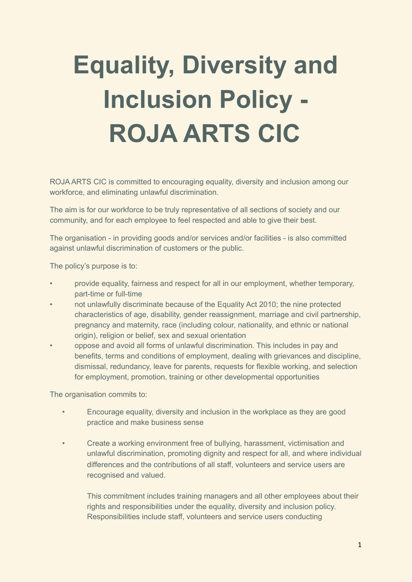## **Equality, Diversity and Inclusion Policy - ROJA ARTS CIC**

ROJA ARTS CIC is committed to encouraging equality, diversity and inclusion among our workforce, and eliminating unlawful discrimination.

The aim is for our workforce to be truly representative of all sections of society and our community, and for each employee to feel respected and able to give their best.

The organisation - in providing goods and/or services and/or facilities - is also committed against unlawful discrimination of customers or the public.

The policy's purpose is to:

- provide equality, fairness and respect for all in our employment, whether temporary, part-time or full-time
- not unlawfully discriminate because of the Equality Act 2010; the nine protected characteristics of age, disability, gender reassignment, marriage and civil partnership, pregnancy and maternity, race (including colour, nationality, and ethnic or national origin), religion or belief, sex and sexual orientation
- oppose and avoid all forms of unlawful discrimination. This includes in pay and benefits, terms and conditions of employment, dealing with grievances and discipline, dismissal, redundancy, leave for parents, requests for flexible working, and selection for employment, promotion, training or other developmental opportunities

The organisation commits to:

- Encourage equality, diversity and inclusion in the workplace as they are good practice and make business sense
- Create a working environment free of bullying, harassment, victimisation and unlawful discrimination, promoting dignity and respect for all, and where individual differences and the contributions of all staff, volunteers and service users are recognised and valued.

This commitment includes training managers and all other employees about their rights and responsibilities under the equality, diversity and inclusion policy. Responsibilities include staff, volunteers and service users conducting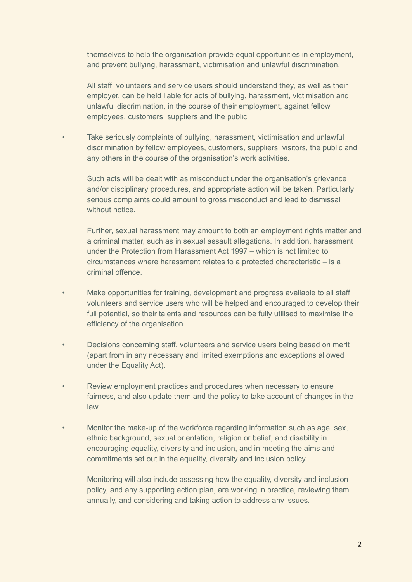themselves to help the organisation provide equal opportunities in employment, and prevent bullying, harassment, victimisation and unlawful discrimination.

All staff, volunteers and service users should understand they, as well as their employer, can be held liable for acts of bullying, harassment, victimisation and unlawful discrimination, in the course of their employment, against fellow employees, customers, suppliers and the public

• Take seriously complaints of bullying, harassment, victimisation and unlawful discrimination by fellow employees, customers, suppliers, visitors, the public and any others in the course of the organisation's work activities.

Such acts will be dealt with as misconduct under the organisation's grievance and/or disciplinary procedures, and appropriate action will be taken. Particularly serious complaints could amount to gross misconduct and lead to dismissal without notice

Further, sexual harassment may amount to both an employment rights matter and a criminal matter, such as in sexual assault allegations. In addition, harassment under the Protection from Harassment Act 1997 – which is not limited to circumstances where harassment relates to a protected characteristic – is a criminal offence.

- Make opportunities for training, development and progress available to all staff, volunteers and service users who will be helped and encouraged to develop their full potential, so their talents and resources can be fully utilised to maximise the efficiency of the organisation.
- Decisions concerning staff, volunteers and service users being based on merit (apart from in any necessary and limited exemptions and exceptions allowed under the Equality Act).
- Review employment practices and procedures when necessary to ensure fairness, and also update them and the policy to take account of changes in the law.
- Monitor the make-up of the workforce regarding information such as age, sex, ethnic background, sexual orientation, religion or belief, and disability in encouraging equality, diversity and inclusion, and in meeting the aims and commitments set out in the equality, diversity and inclusion policy.

Monitoring will also include assessing how the equality, diversity and inclusion policy, and any supporting action plan, are working in practice, reviewing them annually, and considering and taking action to address any issues.